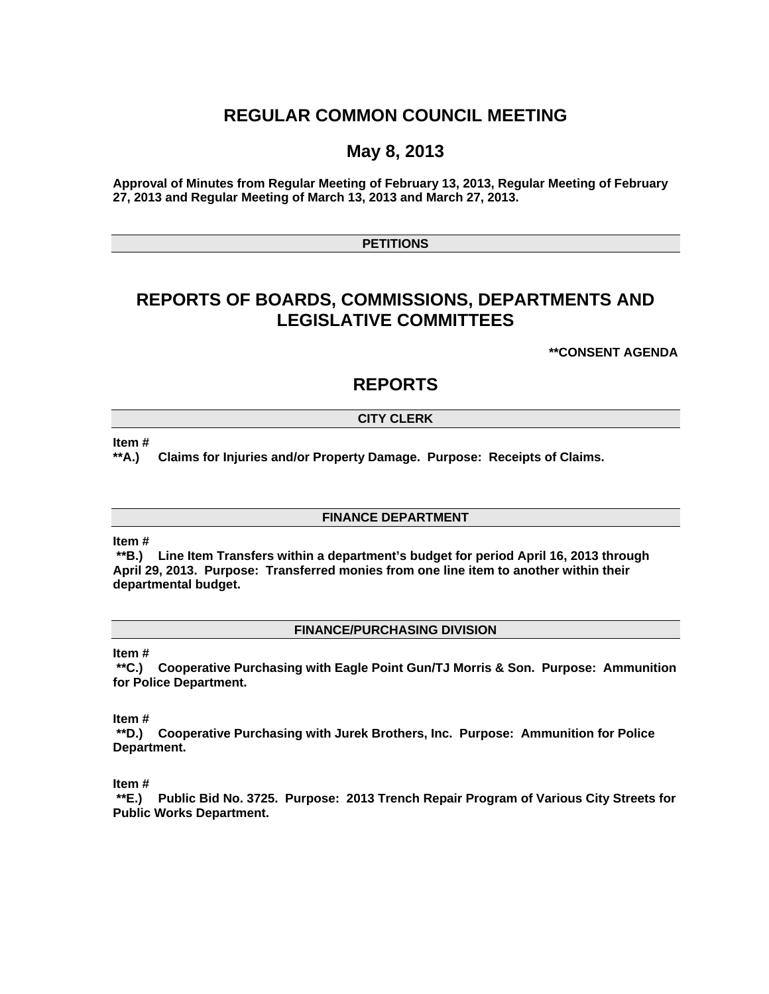# **REGULAR COMMON COUNCIL MEETING**

# **May 8, 2013**

**Approval of Minutes from Regular Meeting of February 13, 2013, Regular Meeting of February 27, 2013 and Regular Meeting of March 13, 2013 and March 27, 2013.** 

# **PETITIONS**

# **REPORTS OF BOARDS, COMMISSIONS, DEPARTMENTS AND LEGISLATIVE COMMITTEES**

**\*\*CONSENT AGENDA** 

# **REPORTS**

# **CITY CLERK**

#### **Item #**

**\*\*A.) Claims for Injuries and/or Property Damage. Purpose: Receipts of Claims.** 

# **FINANCE DEPARTMENT**

## **Item #**

 **\*\*B.) Line Item Transfers within a department's budget for period April 16, 2013 through April 29, 2013. Purpose: Transferred monies from one line item to another within their departmental budget.** 

## **FINANCE/PURCHASING DIVISION**

#### **Item #**

 **\*\*C.) Cooperative Purchasing with Eagle Point Gun/TJ Morris & Son. Purpose: Ammunition for Police Department.** 

**Item #** 

 **\*\*D.) Cooperative Purchasing with Jurek Brothers, Inc. Purpose: Ammunition for Police Department.** 

**Item #** 

 **\*\*E.) Public Bid No. 3725. Purpose: 2013 Trench Repair Program of Various City Streets for Public Works Department.**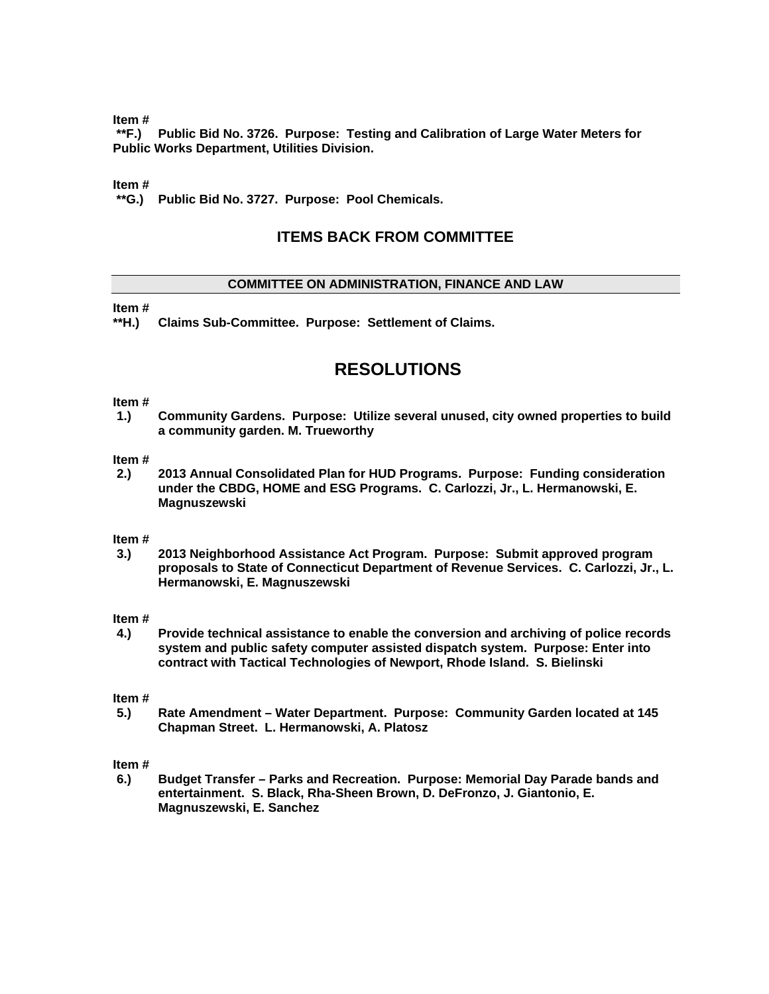**Item #** 

 **\*\*F.) Public Bid No. 3726. Purpose: Testing and Calibration of Large Water Meters for Public Works Department, Utilities Division.** 

# **Item #**

 **\*\*G.) Public Bid No. 3727. Purpose: Pool Chemicals.** 

# **ITEMS BACK FROM COMMITTEE**

# **COMMITTEE ON ADMINISTRATION, FINANCE AND LAW**

# **Item #**

**\*\*H.) Claims Sub-Committee. Purpose: Settlement of Claims.** 

# **RESOLUTIONS**

## **Item #**

**1.) Community Gardens. Purpose: Utilize several unused, city owned properties to build a community garden. M. Trueworthy** 

## **Item #**

**2.) 2013 Annual Consolidated Plan for HUD Programs. Purpose: Funding consideration under the CBDG, HOME and ESG Programs. C. Carlozzi, Jr., L. Hermanowski, E. Magnuszewski** 

## **Item #**

**3.) 2013 Neighborhood Assistance Act Program. Purpose: Submit approved program proposals to State of Connecticut Department of Revenue Services. C. Carlozzi, Jr., L. Hermanowski, E. Magnuszewski** 

## **Item #**

**4.) Provide technical assistance to enable the conversion and archiving of police records system and public safety computer assisted dispatch system. Purpose: Enter into contract with Tactical Technologies of Newport, Rhode Island. S. Bielinski** 

#### **Item #**

**5.) Rate Amendment – Water Department. Purpose: Community Garden located at 145 Chapman Street. L. Hermanowski, A. Platosz** 

## **Item #**

**6.) Budget Transfer – Parks and Recreation. Purpose: Memorial Day Parade bands and entertainment. S. Black, Rha-Sheen Brown, D. DeFronzo, J. Giantonio, E. Magnuszewski, E. Sanchez**